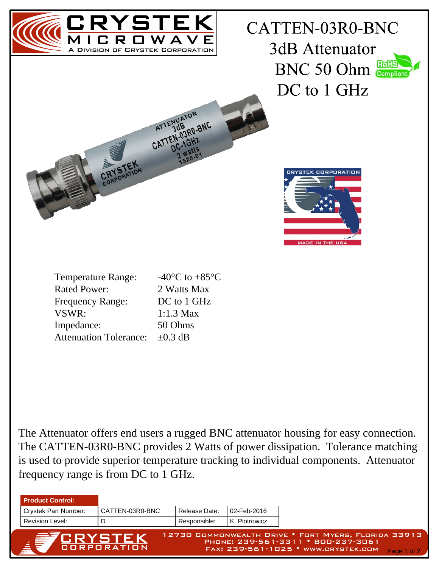

The Attenuator offers end users a rugged BNC attenuator housing for easy connection. The CATTEN-03R0-BNC provides 2 Watts of power dissipation. Tolerance matching is used to provide superior temperature tracking to individual components. Attenuator frequency range is from DC to 1 GHz.

| <b>Product Control:</b>     |                 |                                                                                                                                                  |               |  |
|-----------------------------|-----------------|--------------------------------------------------------------------------------------------------------------------------------------------------|---------------|--|
| <b>Crystek Part Number:</b> | CATTEN-03R0-BNC | Release Date:                                                                                                                                    | l 02-Feb-2016 |  |
| <b>Revision Level:</b>      |                 | Responsible:                                                                                                                                     | K. Piotrowicz |  |
| <b>ERYSTEK</b>              |                 | 12730 COMMONWEALTH DRIVE . FORT MYERS, FLORIDA 33913<br>PHONE: 239-561-3311 • 800-237-3061<br>FAX: 239-561-1025 • WWW.CRYSTEK.COM<br>Page 1 of 2 |               |  |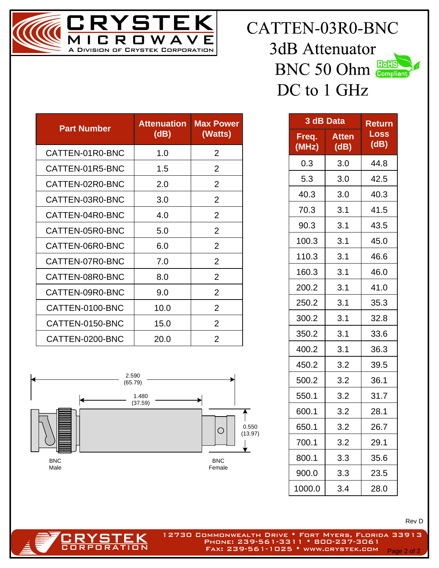

| CATTEN-03R0-BNC   |
|-------------------|
| 3dB Attenuator    |
| <b>BNC 50 Ohm</b> |
| DC to 1 GHz       |

| RoHS      |  |
|-----------|--|
| Compliant |  |

| <b>Part Number</b> | <b>Attenuation</b><br>(dB) | <b>Max Power</b><br>(Watts) |
|--------------------|----------------------------|-----------------------------|
| CATTEN-01R0-BNC    | 1.0                        | $\overline{2}$              |
| CATTEN-01R5-BNC    | 1.5                        | $\overline{2}$              |
| CATTEN-02R0-BNC    | 2.0                        | $\overline{2}$              |
| CATTEN-03R0-BNC    | 3.0                        | $\overline{2}$              |
| CATTEN-04R0-BNC    | 4.0                        | $\overline{2}$              |
| CATTEN-05R0-BNC    | 5.0                        | $\overline{2}$              |
| CATTEN-06R0-BNC    | 6.0                        | $\overline{2}$              |
| CATTEN-07R0-BNC    | 7.0                        | $\overline{2}$              |
| CATTEN-08R0-BNC    | 8.0                        | 2                           |
| CATTEN-09R0-BNC    | 9.0                        | $\overline{2}$              |
| CATTEN-0100-BNC    | 10.0                       | $\overline{2}$              |
| CATTEN-0150-BNC    | 15.0                       | $\overline{2}$              |
| CATTEN-0200-BNC    | 20.0                       | $\overline{2}$              |



RYSTEK **CORPORATION** 

| 3 dB Data      | <b>Return</b>        |              |
|----------------|----------------------|--------------|
| Freq.<br>(MHz) | <b>Atten</b><br>(dB) | Loss<br>(dB) |
| 0.3            | 3.0                  | 44.8         |
| 5.3            | 3.0                  | 42.5         |
| 40.3           | 3.0                  | 40.3         |
| 70.3           | 3.1                  | 41.5         |
| 90.3           | 3.1                  | 43.5         |
| 100.3          | 3.1                  | 45.0         |
| 110.3          | 3.1                  | 46.6         |
| 160.3          | 3.1                  | 46.0         |
| 200.2          | 3.1                  | 41.0         |
| 250.2          | 3.1                  | 35.3         |
| 300.2          | 3.1                  | 32.8         |
| 350.2          | 3.1                  | 33.6         |
| 400.2          | 3.1                  | 36.3         |
| 450.2          | 3.2                  | 39.5         |
| 500.2          | 3.2                  | 36.1         |
| 550.1          | 3.2                  | 31.7         |
| 600.1          | 3.2                  | 28.1         |
| 650.1          | 3.2                  | 26.7         |
| 700.1          | 3.2                  | 29.1         |
| 800.1          | 3.3                  | 35.6         |
| 900.0          | 3.3                  | 23.5         |
| 1000.0         | 3.4                  | 28.0         |

Rev D

12730 Commonwealth Drive • Fort Myers, Florida 33913 Phone: 239-561-3311 • 800-237-3061 FAX: 239-561-1025 • www.crystek.com Page 2 of 2